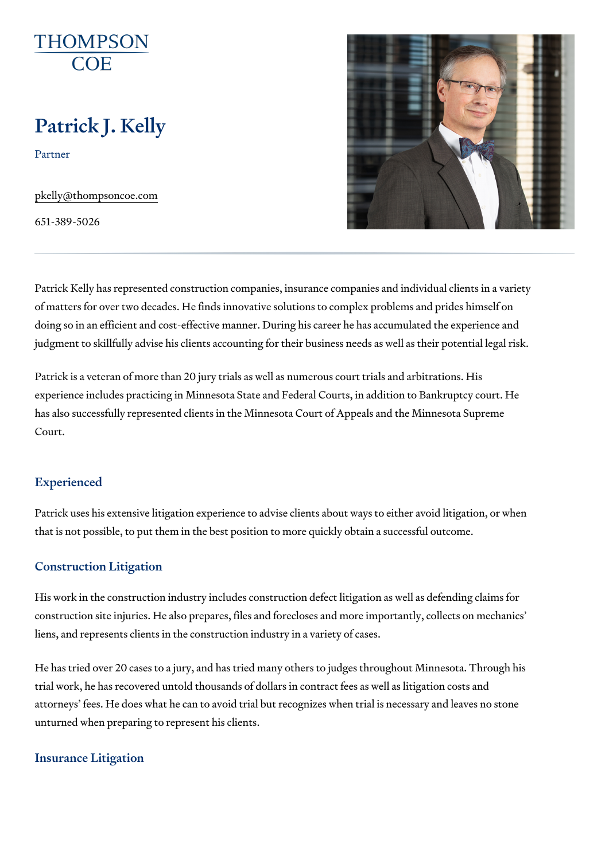# Patrick J. Kelly

Partner

[pkelly@thompso](mailto:pkelly@thompsoncoe.com)ncoe.com

651-389-5026

Patrick Kelly has represented construction companies, insurance companie of matters for over two decades. He finds innovative solutions to complex doing so in an efficient and cost-effective manner. During his career he has judgment to skillfully advise his clients accounting for their business need

Patrick is a veteran of more than 20 jury trials as well as numerous court experience includes practicing in Minnesota State and Federal Courts, in a has also successfully represented clients in the Minnesota Court of Appea Court.

#### Experienced

Patrick uses his extensive litigation experience to advise clients about wa that is not possible, to put them in the best position to more quickly obtai

## Construction Litigation

His work in the construction industry includes construction defect litigatio construction site injuries. He also prepares, files and forecloses and more liens, and represents clients in the construction industry in a variety of ca

He has tried over 20 cases to a jury, and has tried many others to judges trial work, he has recovered untold thousands of dollars in contract fees a attorneys fees. He does what he can to avoid trial but recognizes when tr unturned when preparing to represent his clients.

#### Insurance Litigation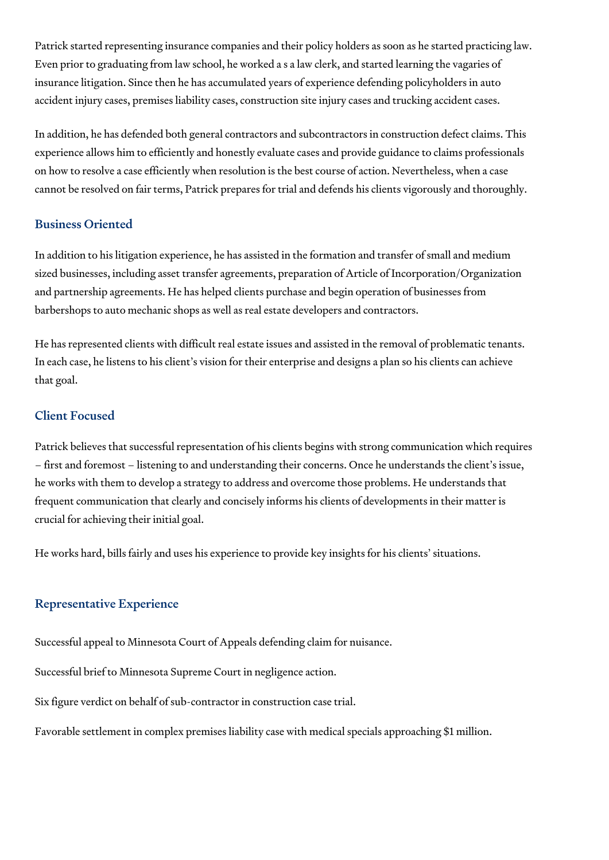Patrick started representing insurance companies and their policy holders as soon as he started practicing law. Even prior to graduating from law school, he worked a s a law clerk, and started learning the vagaries of insurance litigation. Since then he has accumulated years of experience defending policyholders in auto accident injury cases, premises liability cases, construction site injury cases and trucking accident cases.

In addition, he has defended both general contractors and subcontractors in construction defect claims. This experience allows him to efficiently and honestly evaluate cases and provide guidance to claims professionals on how to resolve a case efficiently when resolution is the best course of action. Nevertheless, when a case cannot be resolved on fair terms, Patrick prepares for trial and defends his clients vigorously and thoroughly.

# Business Oriented

In addition to his litigation experience, he has assisted in the formation and transfer of small and medium sized businesses, including asset transfer agreements, preparation of Article of Incorporation/Organization and partnership agreements. He has helped clients purchase and begin operation of businesses from barbershops to auto mechanic shops as well as real estate developers and contractors.

He has represented clients with difficult real estate issues and assisted in the removal of problematic tenants. In each case, he listens to his client's vision for their enterprise and designs a plan so his clients can achieve that goal.

## Client Focused

Patrick believes that successful representation of his clients begins with strong communication which requires – first and foremost – listening to and understanding their concerns. Once he understands the client's issue, he works with them to develop a strategy to address and overcome those problems. He understands that frequent communication that clearly and concisely informs his clients of developments in their matter is crucial for achieving their initial goal.

He works hard, bills fairly and uses his experience to provide key insights for his clients' situations.

# Representative Experience

Successful appeal to Minnesota Court of Appeals defending claim for nuisance.

Successful brief to Minnesota Supreme Court in negligence action.

Six figure verdict on behalf of sub-contractor in construction case trial.

Favorable settlement in complex premises liability case with medical specials approaching \$1 million.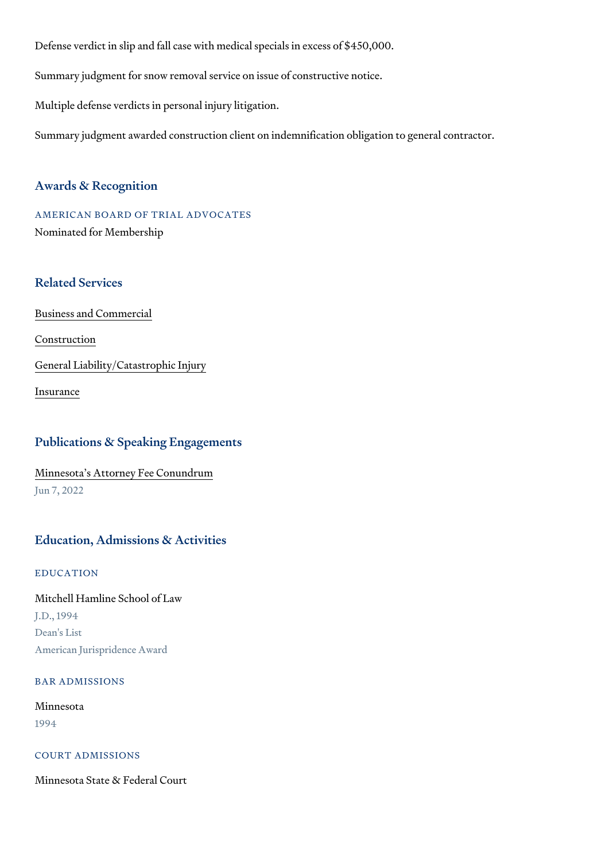Defense verdict in slip and fall case with medical specials in excess of \$4 Summary judgment for snow removal service on issue of constructive notic Multiple defense verdicts in personal injury litigation.

Summary judgment awarded construction client on indemnification obligation

#### Awards & Recognition

AMERICAN BOARD OF TRIAL ADVOCATES Nominated for Membership

## Related Services

[Business and C](https://www.thompsoncoe.com/people/patrick-j-kelly/)ommercial

[Constru](https://www.thompsoncoe.com/people/patrick-j-kelly/)ction

[General Liability/Catas](https://www.thompsoncoe.com/people/patrick-j-kelly/)trophic Injury

[Insura](https://www.thompsoncoe.com/people/patrick-j-kelly/)nce

## Publications & Speaking Engagements

## [Minnesota s Attorney F](https://www.thompsoncoe.com/resources/publications/minnesotas-attorney-fee-conundrum/)ee Conundrum Jun 7, 2022

#### Education, Admissions & Activities

#### EDUCATION

Mitchell Hamline School of Law J.D., 1994 Dean's List American Jurispridence Award

#### BAR ADMISSIONS

## Minnesota 1994

### COURT ADMISSIONS

Minnesota State & Federal Court